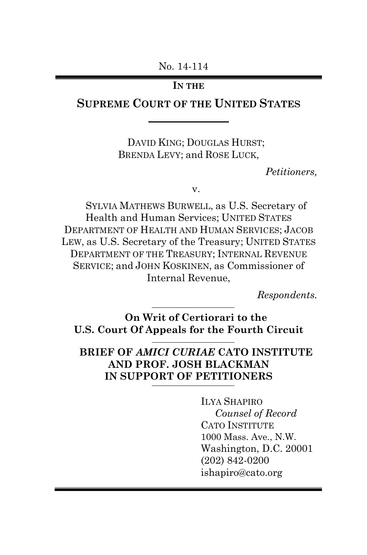No. 14-114

#### **IN THE**

# **SUPREME COURT OF THE UNITED STATES**

DAVID KING; DOUGLAS HURST; BRENDA LEVY; and ROSE LUCK,

*Petitioners,*

v.

SYLVIA MATHEWS BURWELL, as U.S. Secretary of Health and Human Services; UNITED STATES DEPARTMENT OF HEALTH AND HUMAN SERVICES; JACOB LEW, as U.S. Secretary of the Treasury; UNITED STATES DEPARTMENT OF THE TREASURY; INTERNAL REVENUE SERVICE; and JOHN KOSKINEN, as Commissioner of Internal Revenue,

*Respondents.*

**On Writ of Certiorari to the U.S. Court Of Appeals for the Fourth Circuit**

## **BRIEF OF** *AMICI CURIAE* **CATO INSTITUTE AND PROF. JOSH BLACKMAN IN SUPPORT OF PETITIONERS**

ILYA SHAPIRO  *Counsel of Record* CATO INSTITUTE 1000 Mass. Ave., N.W. Washington, D.C. 20001 (202) 842-0200 ishapiro@cato.org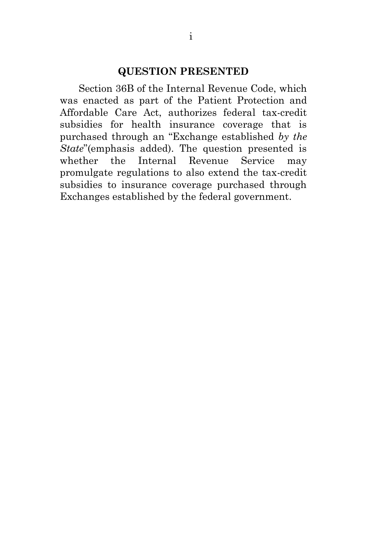#### **QUESTION PRESENTED**

Section 36B of the Internal Revenue Code, which was enacted as part of the Patient Protection and Affordable Care Act, authorizes federal tax-credit subsidies for health insurance coverage that is purchased through an "Exchange established *by the State*"(emphasis added). The question presented is whether the Internal Revenue Service may promulgate regulations to also extend the tax-credit subsidies to insurance coverage purchased through Exchanges established by the federal government.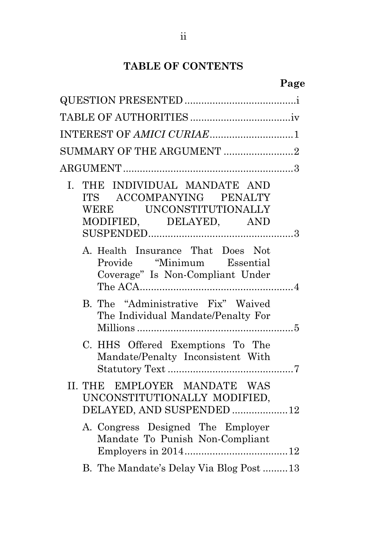# **TABLE OF CONTENTS**

|--|

| INTEREST OF AMICI CURIAE1                                                                                         |  |
|-------------------------------------------------------------------------------------------------------------------|--|
| SUMMARY OF THE ARGUMENT 2                                                                                         |  |
|                                                                                                                   |  |
| THE INDIVIDUAL MANDATE AND<br>I.<br>ITS ACCOMPANYING PENALTY<br>WERE UNCONSTITUTIONALLY<br>MODIFIED, DELAYED, AND |  |
| A. Health Insurance That Does Not<br>Provide "Minimum Essential<br>Coverage" Is Non-Compliant Under               |  |
| B. The "Administrative Fix" Waived<br>The Individual Mandate/Penalty For                                          |  |
| C. HHS Offered Exemptions To The<br>Mandate/Penalty Inconsistent With                                             |  |
| II. THE EMPLOYER MANDATE WAS<br>UNCONSTITUTIONALLY MODIFIED,<br>DELAYED, AND SUSPENDED 12                         |  |
| A. Congress Designed The Employer<br>Mandate To Punish Non-Compliant                                              |  |
| B. The Mandate's Delay Via Blog Post 13                                                                           |  |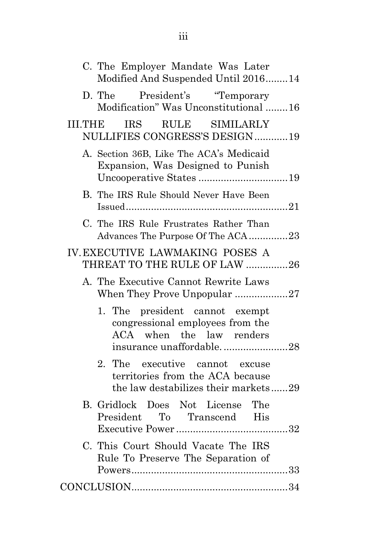| C. The Employer Mandate Was Later<br>Modified And Suspended Until 201614                                                   |
|----------------------------------------------------------------------------------------------------------------------------|
| President's "Temporary<br>D. The<br>Modification" Was Unconstitutional 16                                                  |
| <b>IRS</b><br>RULE SIMILARLY<br><b>III.THE</b><br>NULLIFIES CONGRESS'S DESIGN19                                            |
| A. Section 36B, Like The ACA's Medicaid<br>Expansion, Was Designed to Punish                                               |
| B. The IRS Rule Should Never Have Been                                                                                     |
| C. The IRS Rule Frustrates Rather Than<br>Advances The Purpose Of The ACA23                                                |
| IV. EXECUTIVE LAWMAKING POSES A<br>THREAT TO THE RULE OF LAW 26                                                            |
| A. The Executive Cannot Rewrite Laws<br>When They Prove Unpopular 27                                                       |
| 1. The president cannot exempt<br>congressional employees from the<br>ACA when the law renders<br>insurance unaffordable28 |
| 2.<br>The executive cannot excuse<br>territories from the ACA because<br>the law destabilizes their markets29              |
| B. Gridlock Does Not License<br>The<br>President To Transcend His                                                          |
| C. This Court Should Vacate The IRS<br>Rule To Preserve The Separation of                                                  |
|                                                                                                                            |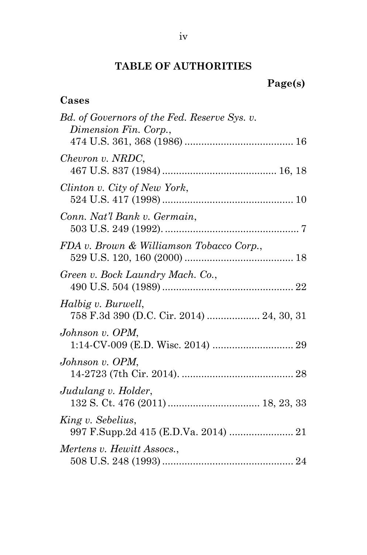# **TABLE OF AUTHORITIES**

# **Page(s)**

# **Cases**

| Bd. of Governors of the Fed. Reserve Sys. v.<br>Dimension Fin. Corp., |  |
|-----------------------------------------------------------------------|--|
|                                                                       |  |
| Chevron v. NRDC,                                                      |  |
| Clinton v. City of New York,                                          |  |
| Conn. Nat'l Bank v. Germain,                                          |  |
| FDA v. Brown & Williamson Tobacco Corp.,                              |  |
| Green v. Bock Laundry Mach. Co.,                                      |  |
| Halbig v. Burwell,<br>758 F.3d 390 (D.C. Cir. 2014)  24, 30, 31       |  |
| Johnson v. OPM,                                                       |  |
| Johnson v. OPM,                                                       |  |
| Judulang v. Holder,                                                   |  |
| King v. Sebelius,<br>997 F.Supp.2d 415 (E.D.Va. 2014)  21             |  |
| Mertens v. Hewitt Assocs.,                                            |  |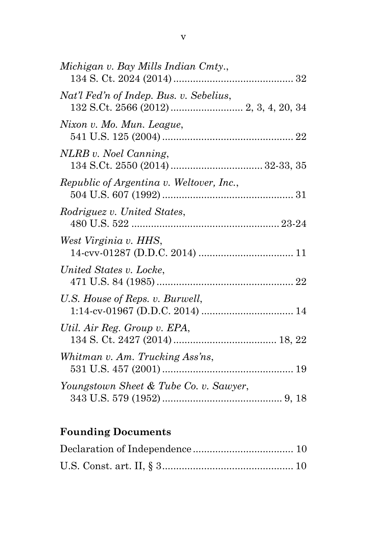| Michigan v. Bay Mills Indian Cmty.,      |  |
|------------------------------------------|--|
| Nat'l Fed'n of Indep. Bus. v. Sebelius,  |  |
| Nixon v. Mo. Mun. League,                |  |
| NLRB v. Noel Canning,                    |  |
| Republic of Argentina v. Weltover, Inc., |  |
| Rodriguez v. United States,              |  |
| West Virginia v. HHS,                    |  |
| United States v. Locke,                  |  |
| U.S. House of Reps. v. Burwell,          |  |
| Util. Air Reg. Group v. EPA,             |  |
| Whitman v. Am. Trucking Ass'ns,          |  |
| Youngstown Sheet & Tube Co. v. Sawyer,   |  |

# **Founding Documents**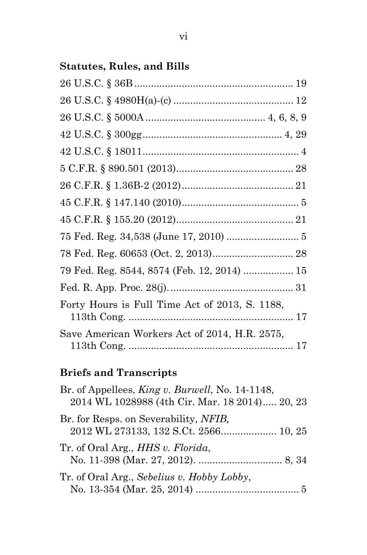# **Statutes, Rules, and Bills**

| 79 Fed. Reg. 8544, 8574 (Feb. 12, 2014)  15    |  |
|------------------------------------------------|--|
|                                                |  |
| Forty Hours is Full Time Act of 2013, S. 1188, |  |
| Save American Workers Act of 2014, H.R. 2575,  |  |

# **Briefs and Transcripts**

| Br. of Appellees, <i>King v. Burwell</i> , No. 14-1148,<br>2014 WL 1028988 (4th Cir. Mar. 18 2014) 20, 23 |  |
|-----------------------------------------------------------------------------------------------------------|--|
| Br. for Resps. on Severability, <i>NFIB</i> ,<br>2012 WL 273133, 132 S.Ct. 2566 10, 25                    |  |
| Tr. of Oral Arg., <i>HHS v. Florida</i> ,                                                                 |  |
| Tr. of Oral Arg., Sebelius v. Hobby Lobby,                                                                |  |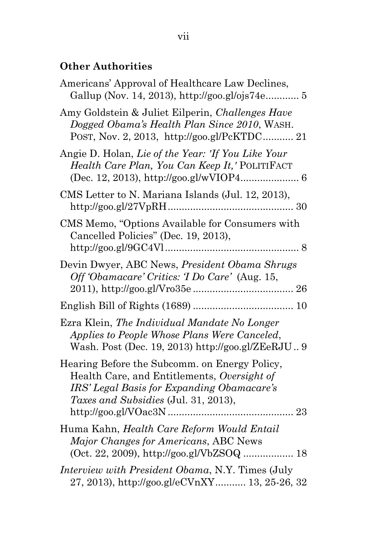# **Other Authorities**

| Americans' Approval of Healthcare Law Declines,<br>Gallup (Nov. 14, 2013), http://goo.gl/ojs74e 5                                                                                         |
|-------------------------------------------------------------------------------------------------------------------------------------------------------------------------------------------|
| Amy Goldstein & Juliet Eilperin, Challenges Have<br>Dogged Obama's Health Plan Since 2010, WASH.<br>POST, Nov. 2, 2013, http://goo.gl/PcKTDC 21                                           |
| Angie D. Holan, Lie of the Year: 'If You Like Your<br>Health Care Plan, You Can Keep It,' POLITIFACT                                                                                      |
| CMS Letter to N. Mariana Islands (Jul. 12, 2013),                                                                                                                                         |
| CMS Memo, "Options Available for Consumers with<br>Cancelled Policies" (Dec. 19, 2013),                                                                                                   |
| Devin Dwyer, ABC News, President Obama Shrugs<br>Off 'Obamacare' Critics: 'I Do Care' (Aug. 15,                                                                                           |
|                                                                                                                                                                                           |
| Ezra Klein, The Individual Mandate No Longer<br>Applies to People Whose Plans Were Canceled,<br>Wash. Post (Dec. 19, 2013) http://goo.gl/ZEeRJU 9                                         |
| Hearing Before the Subcomm. on Energy Policy,<br>Health Care, and Entitlements, Oversight of<br>IRS' Legal Basis for Expanding Obamacare's<br><i>Taxes and Subsidies</i> (Jul. 31, 2013), |
| Huma Kahn, Health Care Reform Would Entail<br>Major Changes for Americans, ABC News<br>(Oct. 22, 2009), http://goo.gl/VbZSOQ  18                                                          |
| Interview with President Obama, N.Y. Times (July<br>27, 2013), http://goo.gl/eCVnXY 13, 25-26, 32                                                                                         |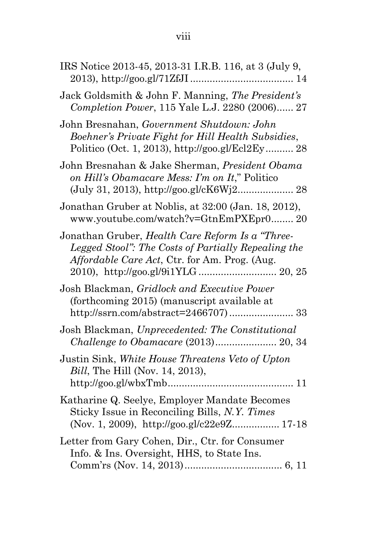| IRS Notice 2013-45, 2013-31 I.R.B. 116, at 3 (July 9,                                                                                                    |
|----------------------------------------------------------------------------------------------------------------------------------------------------------|
| Jack Goldsmith & John F. Manning, The President's<br>Completion Power, 115 Yale L.J. 2280 (2006) 27                                                      |
| John Bresnahan, Government Shutdown: John<br>Boehner's Private Fight for Hill Health Subsidies,<br>Politico (Oct. 1, 2013), http://goo.gl/Ecl2Ey 28      |
| John Bresnahan & Jake Sherman, President Obama<br>on Hill's Obamacare Mess: I'm on It," Politico                                                         |
| Jonathan Gruber at Noblis, at 32:00 (Jan. 18, 2012),<br>www.youtube.com/watch?v=GtnEmPXEpr0 20                                                           |
| Jonathan Gruber, Health Care Reform Is a "Three-<br>Legged Stool": The Costs of Partially Repealing the<br>Affordable Care Act, Ctr. for Am. Prog. (Aug. |
| Josh Blackman, Gridlock and Executive Power<br>(forthcoming 2015) (manuscript available at                                                               |
| Josh Blackman, Unprecedented: The Constitutional                                                                                                         |
| Justin Sink, White House Threatens Veto of Upton<br><i>Bill</i> , The Hill (Nov. 14, 2013),                                                              |
| Katharine Q. Seelye, Employer Mandate Becomes<br>Sticky Issue in Reconciling Bills, N.Y. Times<br>(Nov. 1, 2009), http://goo.gl/c22e9Z 17-18             |
| Letter from Gary Cohen, Dir., Ctr. for Consumer<br>Info. & Ins. Oversight, HHS, to State Ins.                                                            |
|                                                                                                                                                          |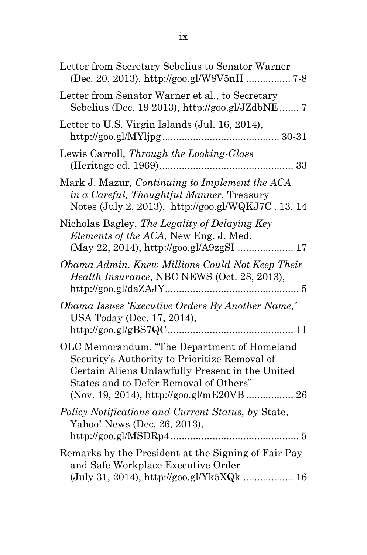| Letter from Secretary Sebelius to Senator Warner                                                                                                                                          |
|-------------------------------------------------------------------------------------------------------------------------------------------------------------------------------------------|
| Letter from Senator Warner et al., to Secretary<br>Sebelius (Dec. 19 2013), http://goo.gl/JZdbNE 7                                                                                        |
| Letter to U.S. Virgin Islands (Jul. 16, 2014),                                                                                                                                            |
| Lewis Carroll, Through the Looking-Glass<br>(Heritage ed. 1969)<br>33                                                                                                                     |
| Mark J. Mazur, Continuing to Implement the ACA<br>in a Careful, Thoughtful Manner, Treasury<br>Notes (July 2, 2013), http://goo.gl/WQKJ7C. 13, 14                                         |
| Nicholas Bagley, The Legality of Delaying Key<br>Elements of the ACA, New Eng. J. Med.                                                                                                    |
| Obama Admin. Knew Millions Could Not Keep Their<br>Health Insurance, NBC NEWS (Oct. 28, 2013),                                                                                            |
| Obama Issues 'Executive Orders By Another Name,'<br>USA Today (Dec. 17, 2014),                                                                                                            |
| OLC Memorandum, "The Department of Homeland<br>Security's Authority to Prioritize Removal of<br>Certain Aliens Unlawfully Present in the United<br>States and to Defer Removal of Others" |
| Policy Notifications and Current Status, by State,<br>Yahoo! News (Dec. 26, 2013),                                                                                                        |
| Remarks by the President at the Signing of Fair Pay<br>and Safe Workplace Executive Order                                                                                                 |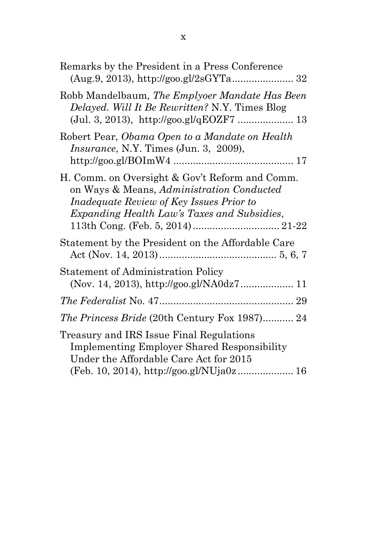| Remarks by the President in a Press Conference                                                                                                                                                |
|-----------------------------------------------------------------------------------------------------------------------------------------------------------------------------------------------|
| Robb Mandelbaum, The Emplyoer Mandate Has Been<br>Delayed. Will It Be Rewritten? N.Y. Times Blog<br>(Jul. 3, 2013), http://goo.gl/qEOZF7  13                                                  |
| Robert Pear, Obama Open to a Mandate on Health<br><i>Insurance</i> , N.Y. Times (Jun. 3, 2009),                                                                                               |
| H. Comm. on Oversight & Gov't Reform and Comm.<br>on Ways & Means, Administration Conducted<br><i>Inadequate Review of Key Issues Prior to</i><br>Expanding Health Law's Taxes and Subsidies, |
| Statement by the President on the Affordable Care                                                                                                                                             |
| <b>Statement of Administration Policy</b>                                                                                                                                                     |
|                                                                                                                                                                                               |
| <i>The Princess Bride</i> (20th Century Fox 1987) 24                                                                                                                                          |
| Treasury and IRS Issue Final Regulations<br><b>Implementing Employer Shared Responsibility</b><br>Under the Affordable Care Act for 2015                                                      |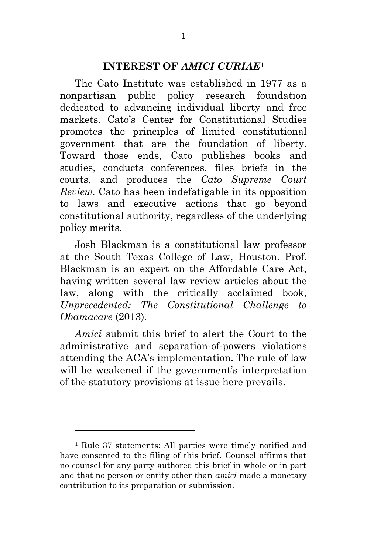#### **INTEREST OF** *AMICI CURIAE***<sup>1</sup>**

The Cato Institute was established in 1977 as a nonpartisan public policy research foundation dedicated to advancing individual liberty and free markets. Cato's Center for Constitutional Studies promotes the principles of limited constitutional government that are the foundation of liberty. Toward those ends, Cato publishes books and studies, conducts conferences, files briefs in the courts, and produces the *Cato Supreme Court Review*. Cato has been indefatigable in its opposition to laws and executive actions that go beyond constitutional authority, regardless of the underlying policy merits.

Josh Blackman is a constitutional law professor at the South Texas College of Law, Houston. Prof. Blackman is an expert on the Affordable Care Act, having written several law review articles about the law, along with the critically acclaimed book, *Unprecedented: The Constitutional Challenge to Obamacare* (2013).

*Amici* submit this brief to alert the Court to the administrative and separation-of-powers violations attending the ACA's implementation. The rule of law will be weakened if the government's interpretation of the statutory provisions at issue here prevails.

<sup>1</sup> Rule 37 statements: All parties were timely notified and have consented to the filing of this brief. Counsel affirms that no counsel for any party authored this brief in whole or in part and that no person or entity other than *amici* made a monetary contribution to its preparation or submission.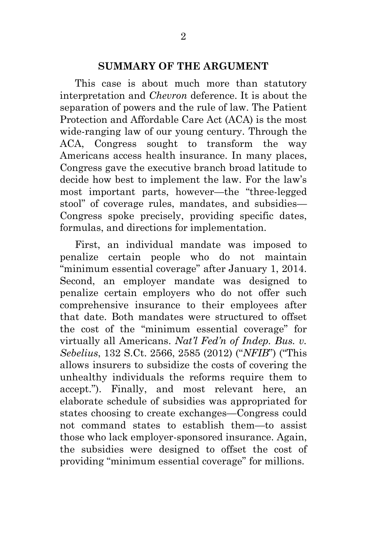#### **SUMMARY OF THE ARGUMENT**

This case is about much more than statutory interpretation and *Chevron* deference. It is about the separation of powers and the rule of law. The Patient Protection and Affordable Care Act (ACA) is the most wide-ranging law of our young century. Through the ACA, Congress sought to transform the way Americans access health insurance. In many places, Congress gave the executive branch broad latitude to decide how best to implement the law. For the law's most important parts, however—the "three-legged stool" of coverage rules, mandates, and subsidies— Congress spoke precisely, providing specific dates, formulas, and directions for implementation.

First, an individual mandate was imposed to penalize certain people who do not maintain "minimum essential coverage" after January 1, 2014. Second, an employer mandate was designed to penalize certain employers who do not offer such comprehensive insurance to their employees after that date. Both mandates were structured to offset the cost of the "minimum essential coverage" for virtually all Americans. *Nat'l Fed'n of Indep. Bus. v. Sebelius*, 132 S.Ct. 2566, 2585 (2012) ("*NFIB*") ("This allows insurers to subsidize the costs of covering the unhealthy individuals the reforms require them to accept."). Finally, and most relevant here, an elaborate schedule of subsidies was appropriated for states choosing to create exchanges—Congress could not command states to establish them—to assist those who lack employer-sponsored insurance. Again, the subsidies were designed to offset the cost of providing "minimum essential coverage" for millions.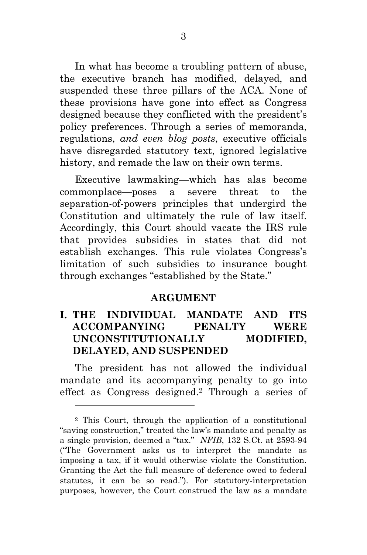In what has become a troubling pattern of abuse, the executive branch has modified, delayed, and suspended these three pillars of the ACA. None of these provisions have gone into effect as Congress designed because they conflicted with the president's policy preferences. Through a series of memoranda, regulations, *and even blog posts*, executive officials have disregarded statutory text, ignored legislative history, and remade the law on their own terms.

Executive lawmaking—which has alas become commonplace—poses a severe threat to the separation-of-powers principles that undergird the Constitution and ultimately the rule of law itself. Accordingly, this Court should vacate the IRS rule that provides subsidies in states that did not establish exchanges. This rule violates Congress's limitation of such subsidies to insurance bought through exchanges "established by the State."

#### **ARGUMENT**

### **I. THE INDIVIDUAL MANDATE AND ITS ACCOMPANYING PENALTY WERE UNCONSTITUTIONALLY MODIFIED, DELAYED, AND SUSPENDED**

The president has not allowed the individual mandate and its accompanying penalty to go into effect as Congress designed. <sup>2</sup> Through a series of

l

<sup>2</sup> This Court, through the application of a constitutional "saving construction," treated the law's mandate and penalty as a single provision, deemed a "tax." *NFIB*, 132 S.Ct. at 2593-94 ("The Government asks us to interpret the mandate as imposing a tax, if it would otherwise violate the Constitution. Granting the Act the full measure of deference owed to federal statutes, it can be so read."). For statutory-interpretation purposes, however, the Court construed the law as a mandate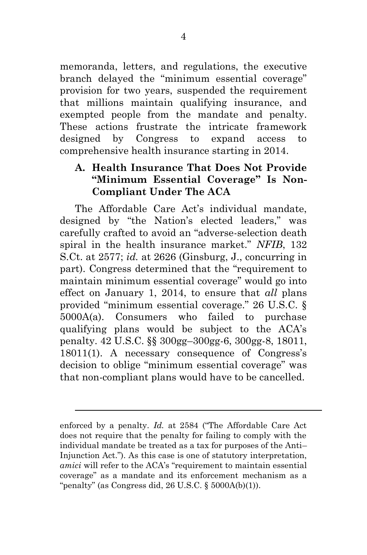memoranda, letters, and regulations, the executive branch delayed the "minimum essential coverage" provision for two years, suspended the requirement that millions maintain qualifying insurance, and exempted people from the mandate and penalty. These actions frustrate the intricate framework designed by Congress to expand access to comprehensive health insurance starting in 2014.

### **A. Health Insurance That Does Not Provide "Minimum Essential Coverage" Is Non-Compliant Under The ACA**

The Affordable Care Act's individual mandate, designed by "the Nation's elected leaders," was carefully crafted to avoid an "adverse-selection death spiral in the health insurance market." *NFIB*, 132 S.Ct. at 2577; *id.* at 2626 (Ginsburg, J., concurring in part). Congress determined that the "requirement to maintain minimum essential coverage" would go into effect on January 1, 2014, to ensure that *all* plans provided "minimum essential coverage." 26 U.S.C. § 5000A(a). Consumers who failed to purchase qualifying plans would be subject to the ACA's penalty. 42 U.S.C. §§ 300gg–300gg-6, 300gg-8, 18011, 18011(1). A necessary consequence of Congress's decision to oblige "minimum essential coverage" was that non-compliant plans would have to be cancelled.

l

enforced by a penalty. *Id.* at 2584 ("The Affordable Care Act does not require that the penalty for failing to comply with the individual mandate be treated as a tax for purposes of the Anti– Injunction Act."). As this case is one of statutory interpretation, *amici* will refer to the ACA's "requirement to maintain essential coverage" as a mandate and its enforcement mechanism as a "penalty" (as Congress did,  $26$  U.S.C.  $\S$  5000A(b)(1)).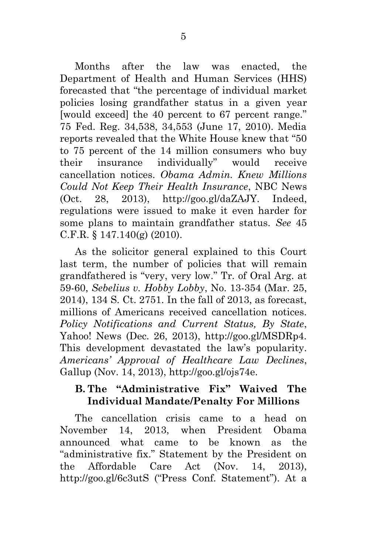Months after the law was enacted, the Department of Health and Human Services (HHS) forecasted that "the percentage of individual market policies losing grandfather status in a given year [would exceed] the 40 percent to 67 percent range." 75 Fed. Reg. 34,538, 34,553 (June 17, 2010). Media reports revealed that the White House knew that "50 to 75 percent of the 14 million consumers who buy their insurance individually" would receive cancellation notices. *Obama Admin. Knew Millions Could Not Keep Their Health Insurance*, NBC News (Oct. 28, 2013), http://goo.gl/daZAJY. Indeed, regulations were issued to make it even harder for some plans to maintain grandfather status. *See* 45 C.F.R. § 147.140(g) (2010).

As the solicitor general explained to this Court last term, the number of policies that will remain grandfathered is "very, very low." Tr. of Oral Arg. at 59-60, *Sebelius v. Hobby Lobby*, No. 13-354 (Mar. 25, 2014), 134 S. Ct. 2751. In the fall of 2013, as forecast, millions of Americans received cancellation notices. *Policy Notifications and Current Status, By State*, Yahoo! News (Dec. 26, 2013), http://goo.gl/MSDRp4. This development devastated the law's popularity. *Americans' Approval of Healthcare Law Declines*, Gallup (Nov. 14, 2013), http://goo.gl/ojs74e.

### **B. The "Administrative Fix" Waived The Individual Mandate/Penalty For Millions**

The cancellation crisis came to a head on November 14, 2013, when President Obama announced what came to be known as the "administrative fix." Statement by the President on the Affordable Care Act (Nov. 14, 2013), http://goo.gl/6c3utS ("Press Conf. Statement"). At a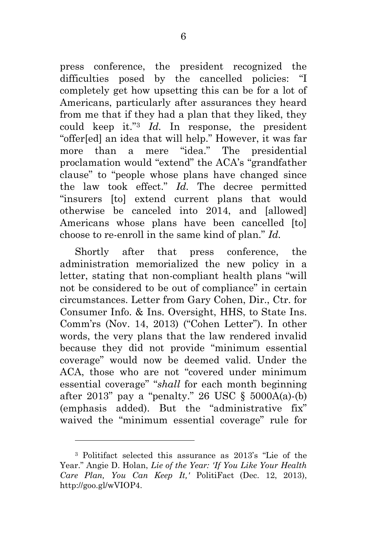press conference, the president recognized the difficulties posed by the cancelled policies: "I completely get how upsetting this can be for a lot of Americans, particularly after assurances they heard from me that if they had a plan that they liked, they could keep it."<sup>3</sup> *Id.* In response, the president "offer[ed] an idea that will help." However, it was far more than a mere "idea." The presidential proclamation would "extend" the ACA's "grandfather clause" to "people whose plans have changed since the law took effect." *Id.* The decree permitted "insurers [to] extend current plans that would otherwise be canceled into 2014, and [allowed] Americans whose plans have been cancelled [to] choose to re-enroll in the same kind of plan." *Id.*

Shortly after that press conference, the administration memorialized the new policy in a letter, stating that non-compliant health plans "will not be considered to be out of compliance" in certain circumstances. Letter from Gary Cohen, Dir., Ctr. for Consumer Info. & Ins. Oversight, HHS, to State Ins. Comm'rs (Nov. 14, 2013) ("Cohen Letter"). In other words, the very plans that the law rendered invalid because they did not provide "minimum essential coverage" would now be deemed valid. Under the ACA, those who are not "covered under minimum essential coverage" "*shall* for each month beginning after 2013" pay a "penalty." 26 USC  $\S$  5000A(a)-(b) (emphasis added). But the "administrative fix" waived the "minimum essential coverage" rule for

<sup>3</sup> Politifact selected this assurance as 2013's "Lie of the Year." Angie D. Holan, *Lie of the Year: 'If You Like Your Health Care Plan, You Can Keep It,'* PolitiFact (Dec. 12, 2013), http://goo.gl/wVIOP4.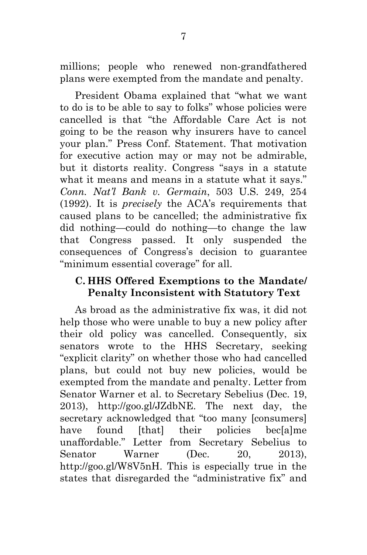millions; people who renewed non-grandfathered plans were exempted from the mandate and penalty.

President Obama explained that "what we want to do is to be able to say to folks" whose policies were cancelled is that "the Affordable Care Act is not going to be the reason why insurers have to cancel your plan." Press Conf. Statement. That motivation for executive action may or may not be admirable, but it distorts reality. Congress "says in a statute what it means and means in a statute what it says." *Conn. Nat'l Bank v. Germain*, 503 U.S. 249, 254 (1992). It is *precisely* the ACA's requirements that caused plans to be cancelled; the administrative fix did nothing—could do nothing—to change the law that Congress passed. It only suspended the consequences of Congress's decision to guarantee "minimum essential coverage" for all.

#### **C. HHS Offered Exemptions to the Mandate/ Penalty Inconsistent with Statutory Text**

As broad as the administrative fix was, it did not help those who were unable to buy a new policy after their old policy was cancelled. Consequently, six senators wrote to the HHS Secretary, seeking "explicit clarity" on whether those who had cancelled plans, but could not buy new policies, would be exempted from the mandate and penalty. Letter from Senator Warner et al. to Secretary Sebelius (Dec. 19, 2013), http://goo.gl/JZdbNE. The next day, the secretary acknowledged that "too many [consumers] have found [that] their policies bec[a]me unaffordable." Letter from Secretary Sebelius to Senator Warner (Dec. 20, 2013). http://goo.gl/W8V5nH. This is especially true in the states that disregarded the "administrative fix" and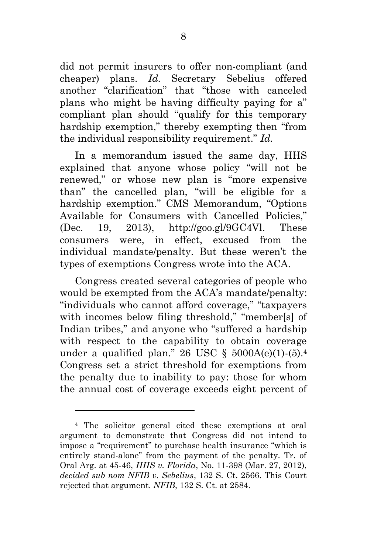did not permit insurers to offer non-compliant (and cheaper) plans. *Id.* Secretary Sebelius offered another "clarification" that "those with canceled plans who might be having difficulty paying for a" compliant plan should "qualify for this temporary hardship exemption," thereby exempting then "from the individual responsibility requirement." *Id.*

In a memorandum issued the same day, HHS explained that anyone whose policy "will not be renewed," or whose new plan is "more expensive than" the cancelled plan, "will be eligible for a hardship exemption." CMS Memorandum, "Options Available for Consumers with Cancelled Policies," (Dec. 19, 2013), http://goo.gl/9GC4Vl. These consumers were, in effect, excused from the individual mandate/penalty. But these weren't the types of exemptions Congress wrote into the ACA.

Congress created several categories of people who would be exempted from the ACA's mandate/penalty: "individuals who cannot afford coverage," "taxpayers with incomes below filing threshold," "member[s] of Indian tribes," and anyone who "suffered a hardship with respect to the capability to obtain coverage under a qualified plan." 26 USC §  $5000A(e)(1)-(5).4$ Congress set a strict threshold for exemptions from the penalty due to inability to pay: those for whom the annual cost of coverage exceeds eight percent of

l

<sup>4</sup> The solicitor general cited these exemptions at oral argument to demonstrate that Congress did not intend to impose a "requirement" to purchase health insurance "which is entirely stand-alone" from the payment of the penalty. Tr. of Oral Arg. at 45-46, *HHS v. Florida*, No. 11-398 (Mar. 27, 2012), *decided sub nom NFIB v. Sebelius*, 132 S. Ct. 2566. This Court rejected that argument. *NFIB*, 132 S. Ct. at 2584.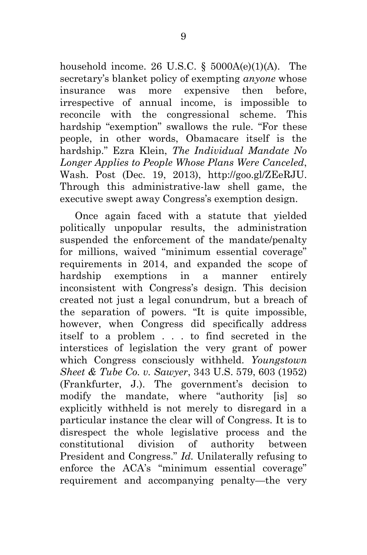household income. 26 U.S.C.  $\S$  5000A(e)(1)(A). The secretary's blanket policy of exempting *anyone* whose insurance was more expensive then before, irrespective of annual income, is impossible to reconcile with the congressional scheme. This hardship "exemption" swallows the rule. "For these people, in other words, Obamacare itself is the hardship." Ezra Klein, *The Individual Mandate No Longer Applies to People Whose Plans Were Canceled*, Wash. Post (Dec. 19, 2013), http://goo.gl/ZEeRJU. Through this administrative-law shell game, the executive swept away Congress's exemption design.

Once again faced with a statute that yielded politically unpopular results, the administration suspended the enforcement of the mandate/penalty for millions, waived "minimum essential coverage" requirements in 2014, and expanded the scope of hardship exemptions in a manner entirely inconsistent with Congress's design. This decision created not just a legal conundrum, but a breach of the separation of powers. "It is quite impossible, however, when Congress did specifically address itself to a problem . . . to find secreted in the interstices of legislation the very grant of power which Congress consciously withheld. *Youngstown Sheet & Tube Co. v. Sawyer*, 343 U.S. 579, 603 (1952) (Frankfurter, J.). The government's decision to modify the mandate, where "authority [is] so explicitly withheld is not merely to disregard in a particular instance the clear will of Congress. It is to disrespect the whole legislative process and the constitutional division of authority between President and Congress." *Id.* Unilaterally refusing to enforce the ACA's "minimum essential coverage" requirement and accompanying penalty—the very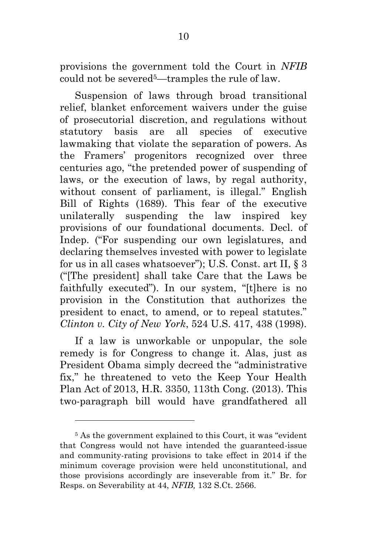provisions the government told the Court in *NFIB*  could not be severed5—tramples the rule of law.

Suspension of laws through broad transitional relief, blanket enforcement waivers under the guise of prosecutorial discretion, and regulations without statutory basis are all species of executive lawmaking that violate the separation of powers. As the Framers' progenitors recognized over three centuries ago, "the pretended power of suspending of laws, or the execution of laws, by regal authority, without consent of parliament, is illegal." English Bill of Rights (1689). This fear of the executive unilaterally suspending the law inspired key provisions of our foundational documents. Decl. of Indep. ("For suspending our own legislatures, and declaring themselves invested with power to legislate for us in all cases whatsoever"); U.S. Const. art II, § 3 ("[The president] shall take Care that the Laws be faithfully executed"). In our system, "[t]here is no provision in the Constitution that authorizes the president to enact, to amend, or to repeal statutes." *Clinton v. City of New York*, 524 U.S. 417, 438 (1998).

If a law is unworkable or unpopular, the sole remedy is for Congress to change it. Alas, just as President Obama simply decreed the "administrative fix," he threatened to veto the Keep Your Health Plan Act of 2013, H.R. 3350, 113th Cong. (2013). This two-paragraph bill would have grandfathered all

<sup>5</sup> As the government explained to this Court, it was "evident that Congress would not have intended the guaranteed-issue and community-rating provisions to take effect in 2014 if the minimum coverage provision were held unconstitutional, and those provisions accordingly are inseverable from it." Br. for Resps. on Severability at 44, *NFIB,* 132 S.Ct. 2566.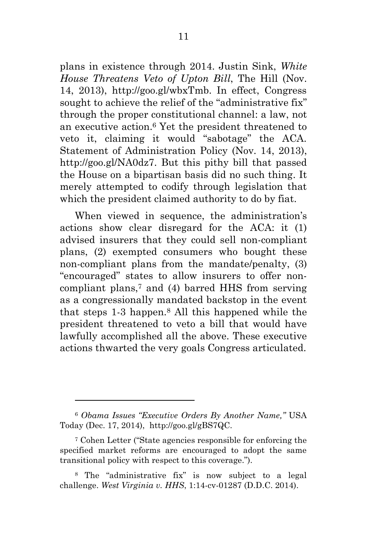plans in existence through 2014. Justin Sink, *White House Threatens Veto of Upton Bill*, The Hill (Nov. 14, 2013), http://goo.gl/wbxTmb. In effect, Congress sought to achieve the relief of the "administrative fix" through the proper constitutional channel: a law, not an executive action. <sup>6</sup> Yet the president threatened to veto it, claiming it would "sabotage" the ACA. Statement of Administration Policy (Nov. 14, 2013), http://goo.gl/NA0dz7. But this pithy bill that passed the House on a bipartisan basis did no such thing. It merely attempted to codify through legislation that which the president claimed authority to do by fiat.

When viewed in sequence, the administration's actions show clear disregard for the ACA: it (1) advised insurers that they could sell non-compliant plans, (2) exempted consumers who bought these non-compliant plans from the mandate/penalty, (3) "encouraged" states to allow insurers to offer noncompliant plans,<sup>7</sup> and (4) barred HHS from serving as a congressionally mandated backstop in the event that steps 1-3 happen. <sup>8</sup> All this happened while the president threatened to veto a bill that would have lawfully accomplished all the above. These executive actions thwarted the very goals Congress articulated.

l

<sup>6</sup> *Obama Issues "Executive Orders By Another Name,"* USA Today (Dec. 17, 2014), http://goo.gl/gBS7QC.

<sup>7</sup> Cohen Letter ("State agencies responsible for enforcing the specified market reforms are encouraged to adopt the same transitional policy with respect to this coverage.").

<sup>8</sup> The "administrative fix" is now subject to a legal challenge. *West Virginia v. HHS*, 1:14-cv-01287 (D.D.C. 2014).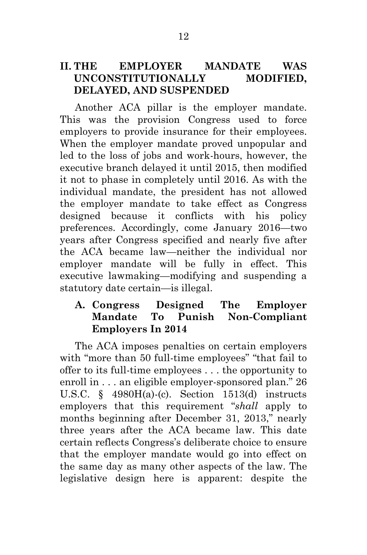### **II. THE EMPLOYER MANDATE WAS UNCONSTITUTIONALLY MODIFIED, DELAYED, AND SUSPENDED**

Another ACA pillar is the employer mandate. This was the provision Congress used to force employers to provide insurance for their employees. When the employer mandate proved unpopular and led to the loss of jobs and work-hours, however, the executive branch delayed it until 2015, then modified it not to phase in completely until 2016. As with the individual mandate, the president has not allowed the employer mandate to take effect as Congress designed because it conflicts with his policy preferences. Accordingly, come January 2016—two years after Congress specified and nearly five after the ACA became law—neither the individual nor employer mandate will be fully in effect. This executive lawmaking—modifying and suspending a statutory date certain—is illegal.

#### **A. Congress Designed The Employer Mandate To Punish Non-Compliant Employers In 2014**

The ACA imposes penalties on certain employers with "more than 50 full-time employees" "that fail to offer to its full-time employees . . . the opportunity to enroll in . . . an eligible employer-sponsored plan." 26 U.S.C. § 4980H(a)-(c). Section 1513(d) instructs employers that this requirement "*shall* apply to months beginning after December 31, 2013," nearly three years after the ACA became law. This date certain reflects Congress's deliberate choice to ensure that the employer mandate would go into effect on the same day as many other aspects of the law. The legislative design here is apparent: despite the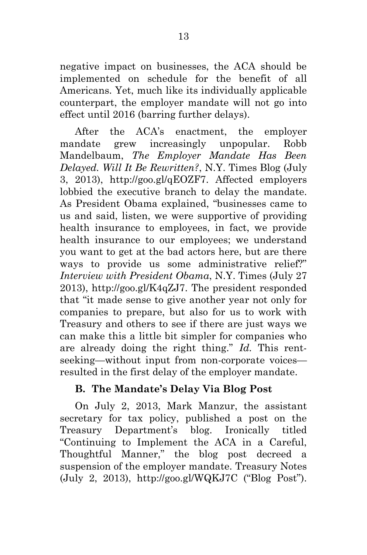negative impact on businesses, the ACA should be implemented on schedule for the benefit of all Americans. Yet, much like its individually applicable counterpart, the employer mandate will not go into effect until 2016 (barring further delays).

After the ACA's enactment, the employer mandate grew increasingly unpopular. Robb Mandelbaum, *The Employer Mandate Has Been Delayed. Will It Be Rewritten?*, N.Y. Times Blog (July 3, 2013), http://goo.gl/qEOZF7. Affected employers lobbied the executive branch to delay the mandate. As President Obama explained, "businesses came to us and said, listen, we were supportive of providing health insurance to employees, in fact, we provide health insurance to our employees; we understand you want to get at the bad actors here, but are there ways to provide us some administrative relief?" *Interview with President Obama*, N.Y. Times (July 27 2013), http://goo.gl/K4qZJ7. The president responded that "it made sense to give another year not only for companies to prepare, but also for us to work with Treasury and others to see if there are just ways we can make this a little bit simpler for companies who are already doing the right thing." *Id.* This rentseeking—without input from non-corporate voices resulted in the first delay of the employer mandate.

# **B. The Mandate's Delay Via Blog Post**

On July 2, 2013, Mark Manzur, the assistant secretary for tax policy, published a post on the Treasury Department's blog. Ironically titled "Continuing to Implement the ACA in a Careful, Thoughtful Manner," the blog post decreed a suspension of the employer mandate. Treasury Notes (July 2, 2013), http://goo.gl/WQKJ7C ("Blog Post").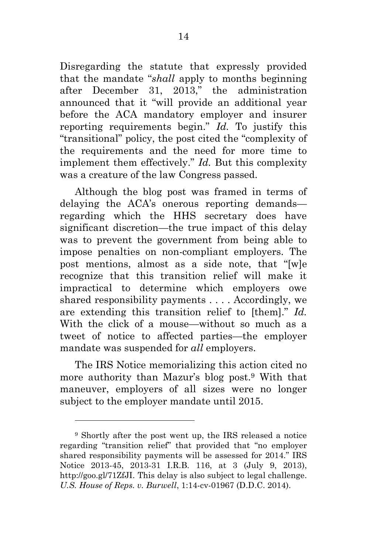Disregarding the statute that expressly provided that the mandate "*shall* apply to months beginning after December 31, 2013," the administration announced that it "will provide an additional year before the ACA mandatory employer and insurer reporting requirements begin." *Id.* To justify this "transitional" policy, the post cited the "complexity of the requirements and the need for more time to implement them effectively." *Id.* But this complexity was a creature of the law Congress passed.

Although the blog post was framed in terms of delaying the ACA's onerous reporting demands regarding which the HHS secretary does have significant discretion—the true impact of this delay was to prevent the government from being able to impose penalties on non-compliant employers. The post mentions, almost as a side note, that "[w]e recognize that this transition relief will make it impractical to determine which employers owe shared responsibility payments . . . . Accordingly, we are extending this transition relief to [them]." *Id.*  With the click of a mouse—without so much as a tweet of notice to affected parties—the employer mandate was suspended for *all* employers.

The IRS Notice memorializing this action cited no more authority than Mazur's blog post.<sup>9</sup> With that maneuver, employers of all sizes were no longer subject to the employer mandate until 2015.

<sup>9</sup> Shortly after the post went up, the IRS released a notice regarding "transition relief" that provided that "no employer shared responsibility payments will be assessed for 2014." IRS Notice 2013-45, 2013-31 I.R.B. 116, at 3 (July 9, 2013), http://goo.gl/71ZfJI. This delay is also subject to legal challenge. *U.S. House of Reps. v. Burwell*, 1:14-cv-01967 (D.D.C. 2014).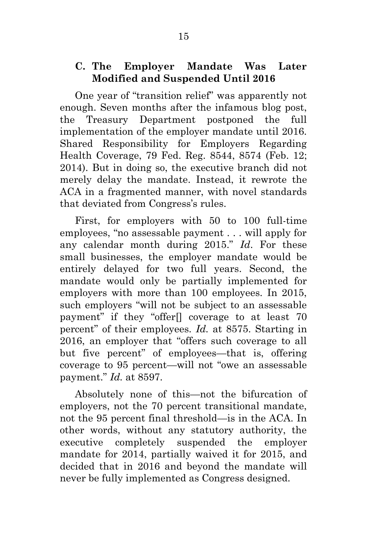#### **C. The Employer Mandate Was Later Modified and Suspended Until 2016**

One year of "transition relief" was apparently not enough. Seven months after the infamous blog post, the Treasury Department postponed the full implementation of the employer mandate until 2016. Shared Responsibility for Employers Regarding Health Coverage, 79 Fed. Reg. 8544, 8574 (Feb. 12; 2014). But in doing so, the executive branch did not merely delay the mandate. Instead, it rewrote the ACA in a fragmented manner, with novel standards that deviated from Congress's rules.

First, for employers with 50 to 100 full-time employees, "no assessable payment . . . will apply for any calendar month during 2015." *Id*. For these small businesses, the employer mandate would be entirely delayed for two full years. Second, the mandate would only be partially implemented for employers with more than 100 employees. In 2015, such employers "will not be subject to an assessable payment" if they "offer[] coverage to at least 70 percent" of their employees. *Id.* at 8575. Starting in 2016, an employer that "offers such coverage to all but five percent" of employees—that is, offering coverage to 95 percent—will not "owe an assessable payment." *Id.* at 8597.

Absolutely none of this—not the bifurcation of employers, not the 70 percent transitional mandate, not the 95 percent final threshold—is in the ACA. In other words, without any statutory authority, the executive completely suspended the employer mandate for 2014, partially waived it for 2015, and decided that in 2016 and beyond the mandate will never be fully implemented as Congress designed.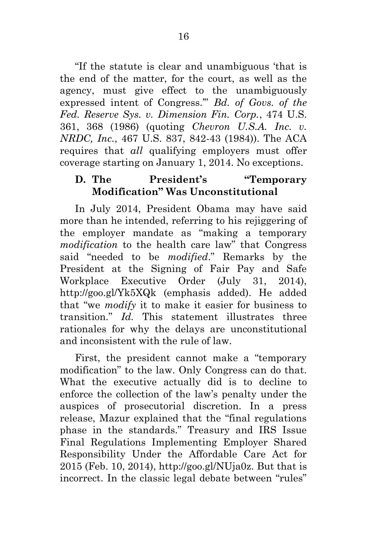"If the statute is clear and unambiguous 'that is the end of the matter, for the court, as well as the agency, must give effect to the unambiguously expressed intent of Congress.'" *Bd. of Govs. of the Fed. Reserve Sys. v. Dimension Fin. Corp.*, 474 U.S. 361, 368 (1986) (quoting *Chevron U.S.A. Inc. v. NRDC, Inc.*, 467 U.S. 837, 842-43 (1984)). The ACA requires that *all* qualifying employers must offer coverage starting on January 1, 2014. No exceptions.

### **D. The President's "Temporary Modification" Was Unconstitutional**

In July 2014, President Obama may have said more than he intended, referring to his rejiggering of the employer mandate as "making a temporary *modification* to the health care law" that Congress said "needed to be *modified*." Remarks by the President at the Signing of Fair Pay and Safe Workplace Executive Order (July 31, 2014), http://goo.gl/Yk5XQk (emphasis added). He added that "we *modify* it to make it easier for business to transition." *Id.* This statement illustrates three rationales for why the delays are unconstitutional and inconsistent with the rule of law.

First, the president cannot make a "temporary modification" to the law. Only Congress can do that. What the executive actually did is to decline to enforce the collection of the law's penalty under the auspices of prosecutorial discretion. In a press release, Mazur explained that the "final regulations phase in the standards." Treasury and IRS Issue Final Regulations Implementing Employer Shared Responsibility Under the Affordable Care Act for 2015 (Feb. 10, 2014), http://goo.gl/NUja0z. But that is incorrect. In the classic legal debate between "rules"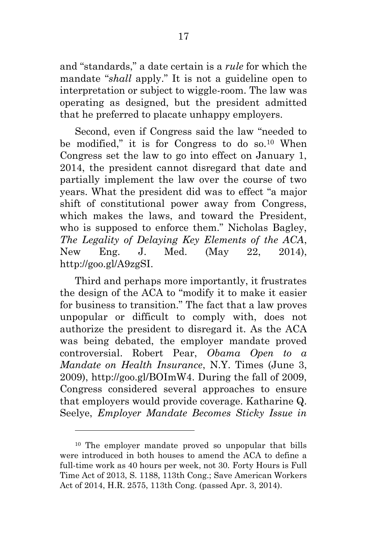and "standards," a date certain is a *rule* for which the mandate "*shall* apply." It is not a guideline open to interpretation or subject to wiggle-room. The law was operating as designed, but the president admitted that he preferred to placate unhappy employers.

Second, even if Congress said the law "needed to be modified," it is for Congress to do so.<sup>10</sup> When Congress set the law to go into effect on January 1, 2014, the president cannot disregard that date and partially implement the law over the course of two years. What the president did was to effect "a major shift of constitutional power away from Congress, which makes the laws, and toward the President, who is supposed to enforce them." Nicholas Bagley, *The Legality of Delaying Key Elements of the ACA*, New Eng. J. Med. (May 22, 2014), http://goo.gl/A9zgSI.

Third and perhaps more importantly, it frustrates the design of the ACA to "modify it to make it easier for business to transition." The fact that a law proves unpopular or difficult to comply with, does not authorize the president to disregard it. As the ACA was being debated, the employer mandate proved controversial. Robert Pear, *Obama Open to a Mandate on Health Insurance*, N.Y. Times (June 3, 2009), http://goo.gl/BOImW4. During the fall of 2009, Congress considered several approaches to ensure that employers would provide coverage. Katharine Q. Seelye, *Employer Mandate Becomes Sticky Issue in* 

<sup>10</sup> The employer mandate proved so unpopular that bills were introduced in both houses to amend the ACA to define a full-time work as 40 hours per week, not 30. Forty Hours is Full Time Act of 2013, S. 1188, 113th Cong.; Save American Workers Act of 2014, H.R. 2575, 113th Cong. (passed Apr. 3, 2014).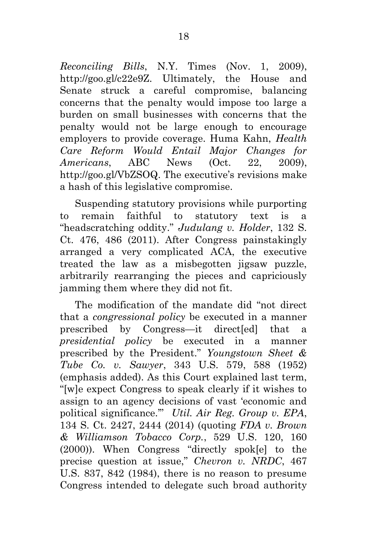*Reconciling Bills*, N.Y. Times (Nov. 1, 2009), http://goo.gl/c22e9Z. Ultimately, the House and Senate struck a careful compromise, balancing concerns that the penalty would impose too large a burden on small businesses with concerns that the penalty would not be large enough to encourage employers to provide coverage. Huma Kahn, *Health Care Reform Would Entail Major Changes for Americans*, ABC News (Oct. 22, 2009), http://goo.gl/VbZSOQ. The executive's revisions make a hash of this legislative compromise.

Suspending statutory provisions while purporting to remain faithful to statutory text is a "headscratching oddity." *Judulang v. Holder*, 132 S. Ct. 476, 486 (2011). After Congress painstakingly arranged a very complicated ACA, the executive treated the law as a misbegotten jigsaw puzzle, arbitrarily rearranging the pieces and capriciously jamming them where they did not fit.

The modification of the mandate did "not direct that a *congressional policy* be executed in a manner prescribed by Congress—it direct[ed] that a *presidential policy* be executed in a manner prescribed by the President." *Youngstown Sheet & Tube Co. v. Sawyer*, 343 U.S. 579, 588 (1952) (emphasis added). As this Court explained last term, "[w]e expect Congress to speak clearly if it wishes to assign to an agency decisions of vast 'economic and political significance.'" *Util. Air Reg. Group v. EPA*, 134 S. Ct. 2427, 2444 (2014) (quoting *FDA v. Brown & Williamson Tobacco Corp.*, 529 U.S. 120, 160 (2000)). When Congress "directly spok[e] to the precise question at issue," *Chevron v. NRDC*, 467 U.S. 837, 842 (1984), there is no reason to presume Congress intended to delegate such broad authority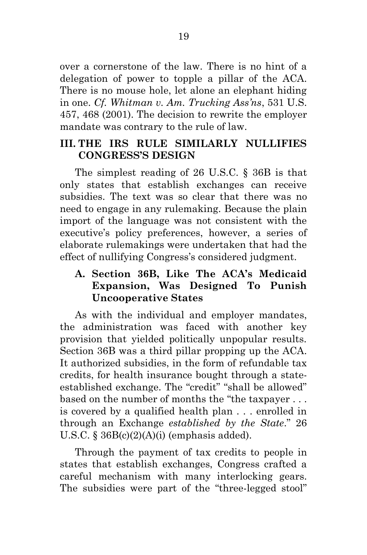over a cornerstone of the law. There is no hint of a delegation of power to topple a pillar of the ACA. There is no mouse hole, let alone an elephant hiding in one. *Cf. Whitman v. Am. Trucking Ass'ns*, 531 U.S. 457, 468 (2001). The decision to rewrite the employer mandate was contrary to the rule of law.

## **III. THE IRS RULE SIMILARLY NULLIFIES CONGRESS'S DESIGN**

The simplest reading of 26 U.S.C. § 36B is that only states that establish exchanges can receive subsidies. The text was so clear that there was no need to engage in any rulemaking. Because the plain import of the language was not consistent with the executive's policy preferences, however, a series of elaborate rulemakings were undertaken that had the effect of nullifying Congress's considered judgment.

# **A. Section 36B, Like The ACA's Medicaid Expansion, Was Designed To Punish Uncooperative States**

As with the individual and employer mandates, the administration was faced with another key provision that yielded politically unpopular results. Section 36B was a third pillar propping up the ACA. It authorized subsidies, in the form of refundable tax credits, for health insurance bought through a stateestablished exchange. The "credit" "shall be allowed" based on the number of months the "the taxpayer . . . is covered by a qualified health plan . . . enrolled in through an Exchange *established by the State*." 26 U.S.C.  $\S 36B(c)(2)(A)(i)$  (emphasis added).

Through the payment of tax credits to people in states that establish exchanges, Congress crafted a careful mechanism with many interlocking gears. The subsidies were part of the "three-legged stool"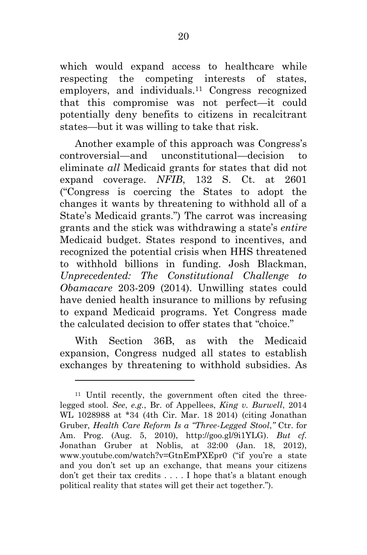which would expand access to healthcare while respecting the competing interests of states, employers, and individuals.<sup>11</sup> Congress recognized that this compromise was not perfect—it could potentially deny benefits to citizens in recalcitrant states—but it was willing to take that risk.

Another example of this approach was Congress's controversial—and unconstitutional—decision to eliminate *all* Medicaid grants for states that did not expand coverage. *NFIB*, 132 S. Ct. at 2601 ("Congress is coercing the States to adopt the changes it wants by threatening to withhold all of a State's Medicaid grants.") The carrot was increasing grants and the stick was withdrawing a state's *entire* Medicaid budget. States respond to incentives, and recognized the potential crisis when HHS threatened to withhold billions in funding. Josh Blackman, *Unprecedented: The Constitutional Challenge to Obamacare* 203-209 (2014). Unwilling states could have denied health insurance to millions by refusing to expand Medicaid programs. Yet Congress made the calculated decision to offer states that "choice."

With Section 36B, as with the Medicaid expansion, Congress nudged all states to establish exchanges by threatening to withhold subsidies. As

l

<sup>11</sup> Until recently, the government often cited the threelegged stool. *See*, *e.g.*, Br. of Appellees, *King v. Burwell*, 2014 WL 1028988 at \*34 (4th Cir. Mar. 18 2014) (citing Jonathan Gruber, *Health Care Reform Is a "Three-Legged Stool*,*"* Ctr. for Am. Prog. (Aug. 5, 2010), http://goo.gl/9i1YLG). *But cf.* Jonathan Gruber at Noblis, at 32:00 (Jan. 18, 2012), www.youtube.com/watch?v=GtnEmPXEpr0 ("if you're a state and you don't set up an exchange, that means your citizens don't get their tax credits . . . . I hope that's a blatant enough political reality that states will get their act together.").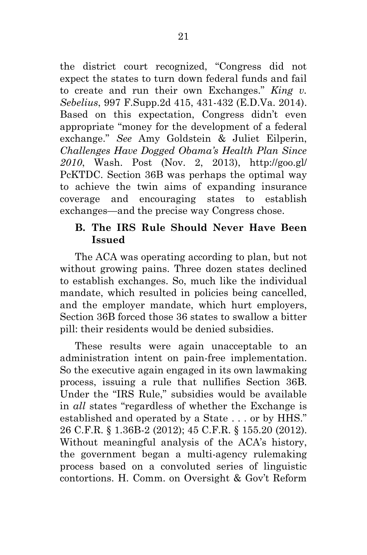the district court recognized, "Congress did not expect the states to turn down federal funds and fail to create and run their own Exchanges." *King v. Sebelius*, 997 F.Supp.2d 415, 431-432 (E.D.Va. 2014). Based on this expectation, Congress didn't even appropriate "money for the development of a federal exchange." *See* Amy Goldstein & Juliet Eilperin, *Challenges Have Dogged Obama's Health Plan Since 2010*, Wash. Post (Nov. 2, 2013), http://goo.gl/ PcKTDC. Section 36B was perhaps the optimal way to achieve the twin aims of expanding insurance coverage and encouraging states to establish exchanges—and the precise way Congress chose.

### **B. The IRS Rule Should Never Have Been Issued**

The ACA was operating according to plan, but not without growing pains. Three dozen states declined to establish exchanges. So, much like the individual mandate, which resulted in policies being cancelled, and the employer mandate, which hurt employers, Section 36B forced those 36 states to swallow a bitter pill: their residents would be denied subsidies.

These results were again unacceptable to an administration intent on pain-free implementation. So the executive again engaged in its own lawmaking process, issuing a rule that nullifies Section 36B. Under the "IRS Rule," subsidies would be available in *all* states "regardless of whether the Exchange is established and operated by a State . . . or by HHS." 26 C.F.R. § 1.36B-2 (2012); 45 C.F.R. § 155.20 (2012). Without meaningful analysis of the ACA's history, the government began a multi-agency rulemaking process based on a convoluted series of linguistic contortions. H. Comm. on Oversight & Gov't Reform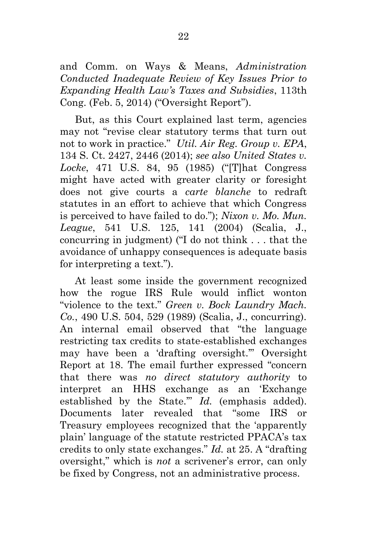and Comm. on Ways & Means, *Administration Conducted Inadequate Review of Key Issues Prior to Expanding Health Law's Taxes and Subsidies*, 113th Cong. (Feb. 5, 2014) ("Oversight Report").

But, as this Court explained last term, agencies may not "revise clear statutory terms that turn out not to work in practice." *Util. Air Reg. Group v. EPA*, 134 S. Ct. 2427, 2446 (2014); *see also United States v. Locke*, 471 U.S. 84, 95 (1985) ("[T]hat Congress might have acted with greater clarity or foresight does not give courts a *carte blanche* to redraft statutes in an effort to achieve that which Congress is perceived to have failed to do."); *Nixon v. Mo. Mun. League*, 541 U.S. 125, 141 (2004) (Scalia, J., concurring in judgment) ("I do not think . . . that the avoidance of unhappy consequences is adequate basis for interpreting a text.").

At least some inside the government recognized how the rogue IRS Rule would inflict wonton "violence to the text." *Green v. Bock Laundry Mach. Co.*, 490 U.S. 504, 529 (1989) (Scalia, J., concurring). An internal email observed that "the language restricting tax credits to state-established exchanges may have been a 'drafting oversight.'" Oversight Report at 18. The email further expressed "concern that there was *no direct statutory authority* to interpret an HHS exchange as an 'Exchange established by the State.'" *Id.* (emphasis added). Documents later revealed that "some IRS or Treasury employees recognized that the 'apparently plain' language of the statute restricted PPACA's tax credits to only state exchanges." *Id.* at 25. A "drafting oversight," which is *not* a scrivener's error, can only be fixed by Congress, not an administrative process.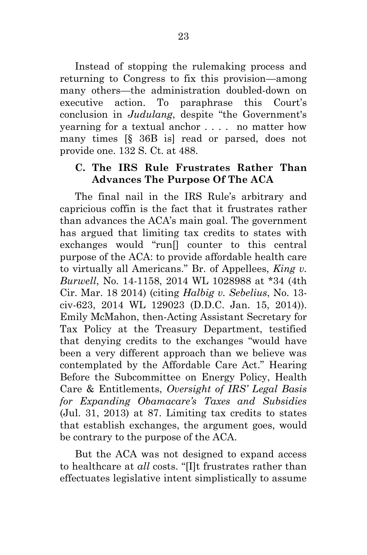Instead of stopping the rulemaking process and returning to Congress to fix this provision—among many others—the administration doubled-down on executive action. To paraphrase this Court's conclusion in *Judulang*, despite "the Government's yearning for a textual anchor . . . . no matter how many times [§ 36B is] read or parsed, does not provide one. 132 S. Ct. at 488.

#### **C. The IRS Rule Frustrates Rather Than Advances The Purpose Of The ACA**

The final nail in the IRS Rule's arbitrary and capricious coffin is the fact that it frustrates rather than advances the ACA's main goal. The government has argued that limiting tax credits to states with exchanges would "run[] counter to this central purpose of the ACA: to provide affordable health care to virtually all Americans." Br. of Appellees, *King v. Burwell*, No. 14-1158, 2014 WL 1028988 at \*34 (4th Cir. Mar. 18 2014) (citing *Halbig v. Sebelius*, No. 13 civ-623, 2014 WL 129023 (D.D.C. Jan. 15, 2014)). Emily McMahon, then-Acting Assistant Secretary for Tax Policy at the Treasury Department, testified that denying credits to the exchanges "would have been a very different approach than we believe was contemplated by the Affordable Care Act." Hearing Before the Subcommittee on Energy Policy, Health Care & Entitlements, *Oversight of IRS' Legal Basis for Expanding Obamacare's Taxes and Subsidies* (Jul. 31, 2013) at 87. Limiting tax credits to states that establish exchanges, the argument goes, would be contrary to the purpose of the ACA.

But the ACA was not designed to expand access to healthcare at *all* costs. "[I]t frustrates rather than effectuates legislative intent simplistically to assume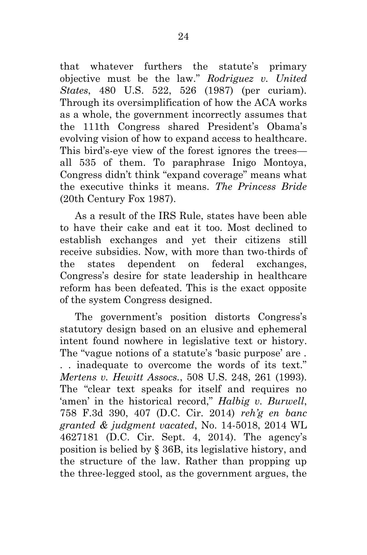that whatever furthers the statute's primary objective must be the law." *Rodriguez v. United States*, 480 U.S. 522, 526 (1987) (per curiam). Through its oversimplification of how the ACA works as a whole, the government incorrectly assumes that the 111th Congress shared President's Obama's evolving vision of how to expand access to healthcare. This bird's-eye view of the forest ignores the trees all 535 of them. To paraphrase Inigo Montoya, Congress didn't think "expand coverage" means what the executive thinks it means. *The Princess Bride* (20th Century Fox 1987).

As a result of the IRS Rule, states have been able to have their cake and eat it too. Most declined to establish exchanges and yet their citizens still receive subsidies. Now, with more than two-thirds of the states dependent on federal exchanges, Congress's desire for state leadership in healthcare reform has been defeated. This is the exact opposite of the system Congress designed.

The government's position distorts Congress's statutory design based on an elusive and ephemeral intent found nowhere in legislative text or history. The "vague notions of a statute's 'basic purpose' are . . . inadequate to overcome the words of its text." *Mertens v. Hewitt Assocs.*, 508 U.S. 248, 261 (1993). The "clear text speaks for itself and requires no 'amen' in the historical record," *Halbig v. Burwell*, 758 F.3d 390, 407 (D.C. Cir. 2014) *reh'g en banc granted & judgment vacated*, No. 14-5018, 2014 WL 4627181 (D.C. Cir. Sept. 4, 2014). The agency's position is belied by § 36B, its legislative history, and the structure of the law. Rather than propping up the three-legged stool, as the government argues, the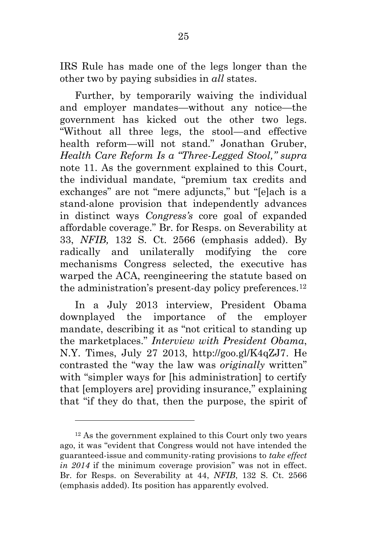IRS Rule has made one of the legs longer than the other two by paying subsidies in *all* states.

Further, by temporarily waiving the individual and employer mandates—without any notice—the government has kicked out the other two legs. "Without all three legs, the stool—and effective health reform—will not stand." Jonathan Gruber, *Health Care Reform Is a "Three-Legged Stool," supra*  note 11. As the government explained to this Court, the individual mandate, "premium tax credits and exchanges" are not "mere adjuncts," but "[e]ach is a stand-alone provision that independently advances in distinct ways *Congress's* core goal of expanded affordable coverage." Br. for Resps. on Severability at 33, *NFIB,* 132 S. Ct. 2566 (emphasis added). By radically and unilaterally modifying the core mechanisms Congress selected, the executive has warped the ACA, reengineering the statute based on the administration's present-day policy preferences.<sup>12</sup>

In a July 2013 interview, President Obama downplayed the importance of the employer mandate, describing it as "not critical to standing up the marketplaces." *Interview with President Obama*, N.Y. Times, July 27 2013, http://goo.gl/K4qZJ7. He contrasted the "way the law was *originally* written" with "simpler ways for [his administration] to certify that [employers are] providing insurance," explaining that "if they do that, then the purpose, the spirit of

<sup>12</sup> As the government explained to this Court only two years ago, it was "evident that Congress would not have intended the guaranteed-issue and community-rating provisions to *take effect in 2014* if the minimum coverage provision" was not in effect. Br. for Resps. on Severability at 44, *NFIB*, 132 S. Ct. 2566 (emphasis added). Its position has apparently evolved.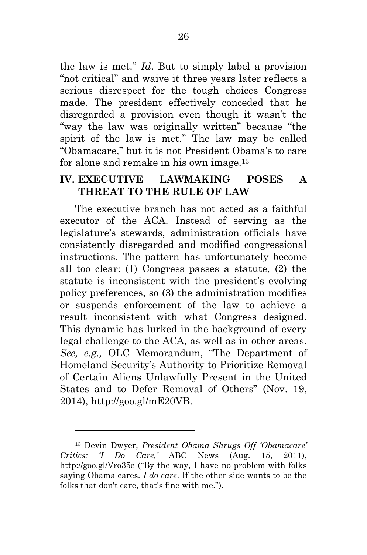the law is met." *Id*. But to simply label a provision "not critical" and waive it three years later reflects a serious disrespect for the tough choices Congress made. The president effectively conceded that he disregarded a provision even though it wasn't the "way the law was originally written" because "the spirit of the law is met." The law may be called "Obamacare," but it is not President Obama's to care for alone and remake in his own image.<sup>13</sup>

#### **IV. EXECUTIVE LAWMAKING POSES A THREAT TO THE RULE OF LAW**

The executive branch has not acted as a faithful executor of the ACA. Instead of serving as the legislature's stewards, administration officials have consistently disregarded and modified congressional instructions. The pattern has unfortunately become all too clear: (1) Congress passes a statute, (2) the statute is inconsistent with the president's evolving policy preferences, so (3) the administration modifies or suspends enforcement of the law to achieve a result inconsistent with what Congress designed. This dynamic has lurked in the background of every legal challenge to the ACA, as well as in other areas. *See, e.g.,* OLC Memorandum, "The Department of Homeland Security's Authority to Prioritize Removal of Certain Aliens Unlawfully Present in the United States and to Defer Removal of Others" (Nov. 19, 2014), http://goo.gl/mE20VB.

<sup>13</sup> Devin Dwyer, *President Obama Shrugs Off 'Obamacare' Critics: 'I Do Care,'* ABC News (Aug. 15, 2011), http://goo.gl/Vro35e ("By the way, I have no problem with folks saying Obama cares. *I do care*. If the other side wants to be the folks that don't care, that's fine with me.").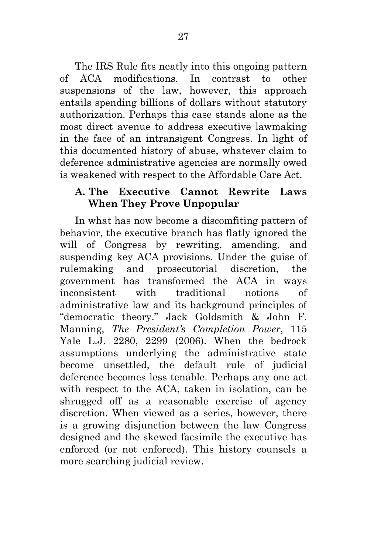The IRS Rule fits neatly into this ongoing pattern of ACA modifications. In contrast to other suspensions of the law, however, this approach entails spending billions of dollars without statutory authorization. Perhaps this case stands alone as the most direct avenue to address executive lawmaking in the face of an intransigent Congress. In light of this documented history of abuse, whatever claim to deference administrative agencies are normally owed is weakened with respect to the Affordable Care Act.

#### **A. The Executive Cannot Rewrite Laws When They Prove Unpopular**

In what has now become a discomfiting pattern of behavior, the executive branch has flatly ignored the will of Congress by rewriting, amending, and suspending key ACA provisions. Under the guise of rulemaking and prosecutorial discretion, the government has transformed the ACA in ways inconsistent with traditional notions of administrative law and its background principles of "democratic theory." Jack Goldsmith & John F. Manning, *The President's Completion Power*, 115 Yale L.J. 2280, 2299 (2006). When the bedrock assumptions underlying the administrative state become unsettled, the default rule of judicial deference becomes less tenable. Perhaps any one act with respect to the ACA, taken in isolation, can be shrugged off as a reasonable exercise of agency discretion. When viewed as a series, however, there is a growing disjunction between the law Congress designed and the skewed facsimile the executive has enforced (or not enforced). This history counsels a more searching judicial review.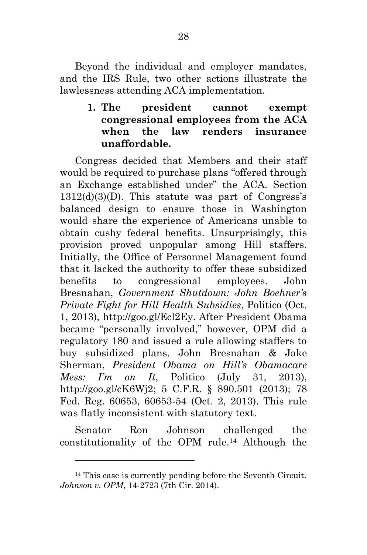Beyond the individual and employer mandates, and the IRS Rule, two other actions illustrate the lawlessness attending ACA implementation.

> **1. The president cannot exempt congressional employees from the ACA when the law renders insurance unaffordable.**

Congress decided that Members and their staff would be required to purchase plans "offered through an Exchange established under" the ACA. Section 1312(d)(3)(D). This statute was part of Congress's balanced design to ensure those in Washington would share the experience of Americans unable to obtain cushy federal benefits. Unsurprisingly, this provision proved unpopular among Hill staffers. Initially, the Office of Personnel Management found that it lacked the authority to offer these subsidized benefits to congressional employees. John Bresnahan, *Government Shutdown: John Boehner's Private Fight for Hill Health Subsidies*, Politico (Oct. 1, 2013), http://goo.gl/Ecl2Ey. After President Obama became "personally involved," however, OPM did a regulatory 180 and issued a rule allowing staffers to buy subsidized plans. John Bresnahan & Jake Sherman, *President Obama on Hill's Obamacare Mess: I'm on It*, Politico (July 31, 2013), http://goo.gl/cK6Wj2; 5 C.F.R. § 890.501 (2013); 78 Fed. Reg. 60653, 60653-54 (Oct. 2, 2013). This rule was flatly inconsistent with statutory text.

Senator Ron Johnson challenged the constitutionality of the OPM rule.<sup>14</sup> Although the

<sup>14</sup> This case is currently pending before the Seventh Circuit. *Johnson v. OPM*, 14-2723 (7th Cir. 2014).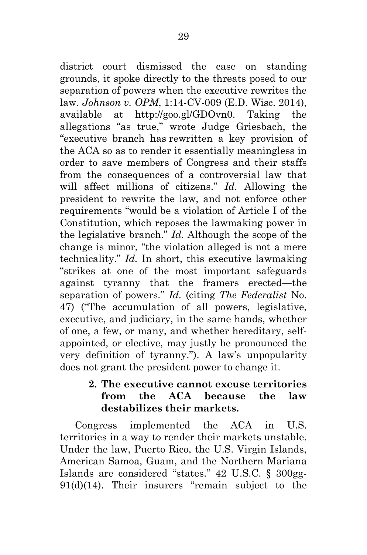district court dismissed the case on standing grounds, it spoke directly to the threats posed to our separation of powers when the executive rewrites the law. *Johnson v. OPM*, 1:14-CV-009 (E.D. Wisc. 2014), available at http://goo.gl/GDOvn0. Taking the allegations "as true," wrote Judge Griesbach, the "executive branch has rewritten a key provision of the ACA so as to render it essentially meaningless in order to save members of Congress and their staffs from the consequences of a controversial law that will affect millions of citizens." *Id.* Allowing the president to rewrite the law, and not enforce other requirements "would be a violation of Article I of the Constitution, which reposes the lawmaking power in the legislative branch." *Id.* Although the scope of the change is minor, "the violation alleged is not a mere technicality." *Id.* In short, this executive lawmaking "strikes at one of the most important safeguards against tyranny that the framers erected—the separation of powers." *Id.* (citing *The Federalist* No. 47) ("The accumulation of all powers, legislative, executive, and judiciary, in the same hands, whether of one, a few, or many, and whether hereditary, selfappointed, or elective, may justly be pronounced the very definition of tyranny."). A law's unpopularity does not grant the president power to change it.

#### **2. The executive cannot excuse territories from the ACA because the law destabilizes their markets.**

Congress implemented the ACA in U.S. territories in a way to render their markets unstable. Under the law, Puerto Rico, the U.S. Virgin Islands, American Samoa, Guam, and the Northern Mariana Islands are considered "states." 42 U.S.C. § 300gg-91(d)(14). Their insurers "remain subject to the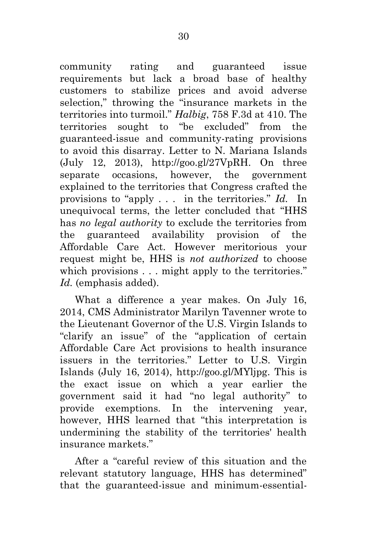community rating and guaranteed issue requirements but lack a broad base of healthy customers to stabilize prices and avoid adverse selection," throwing the "insurance markets in the territories into turmoil." *Halbig*, 758 F.3d at 410. The territories sought to "be excluded" from the guaranteed-issue and community-rating provisions to avoid this disarray. Letter to N. Mariana Islands (July 12, 2013), http://goo.gl/27VpRH. On three separate occasions, however, the government explained to the territories that Congress crafted the provisions to "apply . . . in the territories." *Id.* In unequivocal terms, the letter concluded that "HHS has *no legal authority* to exclude the territories from the guaranteed availability provision of the Affordable Care Act. However meritorious your request might be, HHS is *not authorized* to choose which provisions . . . might apply to the territories." Id. (emphasis added).

What a difference a year makes. On July 16, 2014, CMS Administrator Marilyn Tavenner wrote to the Lieutenant Governor of the U.S. Virgin Islands to "clarify an issue" of the "application of certain Affordable Care Act provisions to health insurance issuers in the territories." Letter to U.S. Virgin Islands (July 16, 2014), http://goo.gl/MYljpg. This is the exact issue on which a year earlier the government said it had "no legal authority" to provide exemptions. In the intervening year, however, HHS learned that "this interpretation is undermining the stability of the territories' health insurance markets."

After a "careful review of this situation and the relevant statutory language, HHS has determined" that the guaranteed-issue and minimum-essential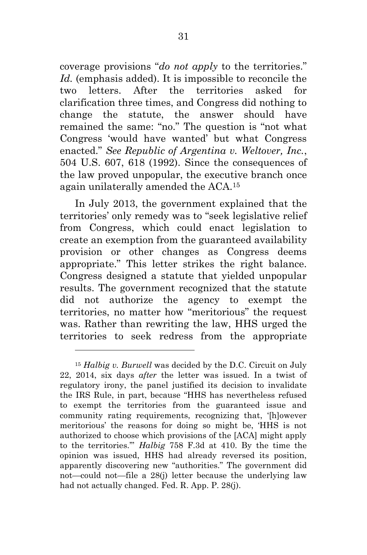coverage provisions "*do not apply* to the territories." *Id.* (emphasis added). It is impossible to reconcile the two letters. After the territories asked for clarification three times, and Congress did nothing to change the statute, the answer should have remained the same: "no." The question is "not what Congress 'would have wanted' but what Congress enacted." *See Republic of Argentina v. Weltover, Inc.*, 504 U.S. 607, 618 (1992). Since the consequences of the law proved unpopular, the executive branch once again unilaterally amended the ACA.<sup>15</sup>

In July 2013, the government explained that the territories' only remedy was to "seek legislative relief from Congress, which could enact legislation to create an exemption from the guaranteed availability provision or other changes as Congress deems appropriate." This letter strikes the right balance. Congress designed a statute that yielded unpopular results. The government recognized that the statute did not authorize the agency to exempt the territories, no matter how "meritorious" the request was. Rather than rewriting the law, HHS urged the territories to seek redress from the appropriate

l

<sup>15</sup> *Halbig v. Burwell* was decided by the D.C. Circuit on July 22, 2014, six days *after* the letter was issued. In a twist of regulatory irony, the panel justified its decision to invalidate the IRS Rule, in part, because "HHS has nevertheless refused to exempt the territories from the guaranteed issue and community rating requirements, recognizing that, '[h]owever meritorious' the reasons for doing so might be, 'HHS is not authorized to choose which provisions of the [ACA] might apply to the territories.'" *Halbig* 758 F.3d at 410. By the time the opinion was issued, HHS had already reversed its position, apparently discovering new "authorities." The government did not—could not—file a 28(j) letter because the underlying law had not actually changed. Fed. R. App. P. 28(j).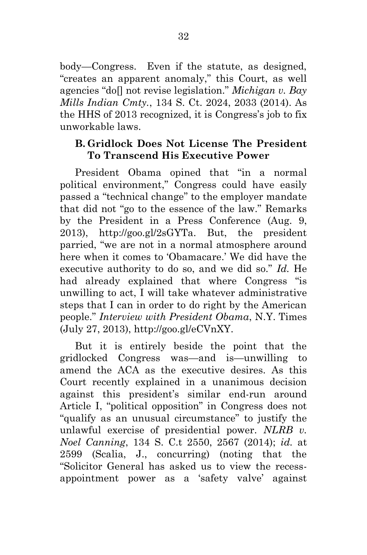body—Congress. Even if the statute, as designed, "creates an apparent anomaly," this Court, as well agencies "do[] not revise legislation." *Michigan v. Bay Mills Indian Cmty.*, 134 S. Ct. 2024, 2033 (2014). As the HHS of 2013 recognized, it is Congress's job to fix unworkable laws.

#### **B. Gridlock Does Not License The President To Transcend His Executive Power**

President Obama opined that "in a normal political environment," Congress could have easily passed a "technical change" to the employer mandate that did not "go to the essence of the law." Remarks by the President in a Press Conference (Aug. 9, 2013), http://goo.gl/2sGYTa. But, the president parried, "we are not in a normal atmosphere around here when it comes to 'Obamacare.' We did have the executive authority to do so, and we did so." *Id.* He had already explained that where Congress "is unwilling to act, I will take whatever administrative steps that I can in order to do right by the American people." *Interview with President Obama*, N.Y. Times (July 27, 2013), http://goo.gl/eCVnXY.

But it is entirely beside the point that the gridlocked Congress was—and is—unwilling to amend the ACA as the executive desires. As this Court recently explained in a unanimous decision against this president's similar end-run around Article I, "political opposition" in Congress does not "qualify as an unusual circumstance" to justify the unlawful exercise of presidential power. *NLRB v. Noel Canning*, 134 S. C.t 2550, 2567 (2014); *id.* at 2599 (Scalia, J., concurring) (noting that the "Solicitor General has asked us to view the recessappointment power as a 'safety valve' against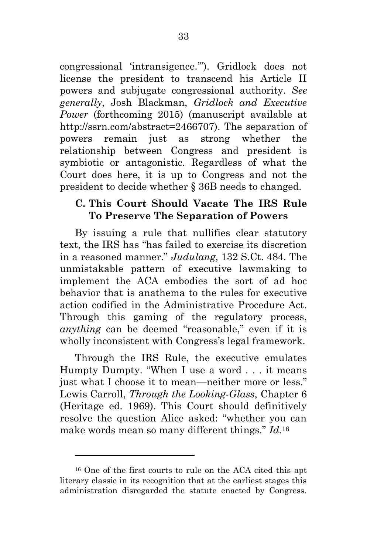congressional 'intransigence.'"). Gridlock does not license the president to transcend his Article II powers and subjugate congressional authority. *See generally*, Josh Blackman, *Gridlock and Executive Power* (forthcoming 2015) (manuscript available at http://ssrn.com/abstract=2466707). The separation of powers remain just as strong whether the relationship between Congress and president is symbiotic or antagonistic. Regardless of what the Court does here, it is up to Congress and not the president to decide whether § 36B needs to changed.

#### **C. This Court Should Vacate The IRS Rule To Preserve The Separation of Powers**

By issuing a rule that nullifies clear statutory text, the IRS has "has failed to exercise its discretion in a reasoned manner." *Judulang*, 132 S.Ct. 484. The unmistakable pattern of executive lawmaking to implement the ACA embodies the sort of ad hoc behavior that is anathema to the rules for executive action codified in the Administrative Procedure Act. Through this gaming of the regulatory process, *anything* can be deemed "reasonable," even if it is wholly inconsistent with Congress's legal framework.

Through the IRS Rule, the executive emulates Humpty Dumpty. "When I use a word . . . it means just what I choose it to mean—neither more or less." Lewis Carroll, *Through the Looking-Glass*, Chapter 6 (Heritage ed. 1969). This Court should definitively resolve the question Alice asked: "whether you can make words mean so many different things." *Id.*<sup>16</sup>

<sup>16</sup> One of the first courts to rule on the ACA cited this apt literary classic in its recognition that at the earliest stages this administration disregarded the statute enacted by Congress.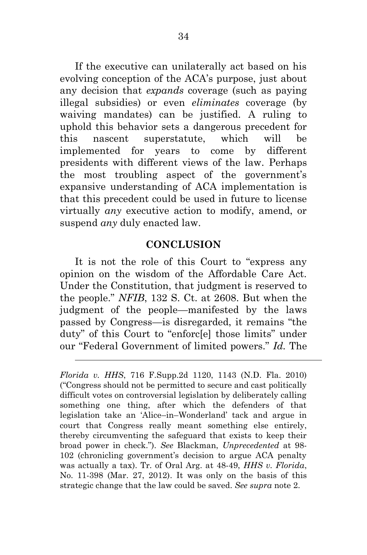If the executive can unilaterally act based on his evolving conception of the ACA's purpose, just about any decision that *expands* coverage (such as paying illegal subsidies) or even *eliminates* coverage (by waiving mandates) can be justified. A ruling to uphold this behavior sets a dangerous precedent for this nascent superstatute, which will be implemented for years to come by different presidents with different views of the law. Perhaps the most troubling aspect of the government's expansive understanding of ACA implementation is that this precedent could be used in future to license virtually *any* executive action to modify, amend, or suspend *any* duly enacted law.

#### **CONCLUSION**

It is not the role of this Court to "express any opinion on the wisdom of the Affordable Care Act. Under the Constitution, that judgment is reserved to the people." *NFIB*, 132 S. Ct. at 2608. But when the judgment of the people—manifested by the laws passed by Congress—is disregarded, it remains "the duty" of this Court to "enforc[e] those limits" under our "Federal Government of limited powers." *Id.* The

l

*Florida v. HHS*, 716 F.Supp.2d 1120, 1143 (N.D. Fla. 2010) ("Congress should not be permitted to secure and cast politically difficult votes on controversial legislation by deliberately calling something one thing, after which the defenders of that legislation take an 'Alice–in–Wonderland' tack and argue in court that Congress really meant something else entirely, thereby circumventing the safeguard that exists to keep their broad power in check."). *See* Blackman, *Unprecedented* at 98- 102 (chronicling government's decision to argue ACA penalty was actually a tax). Tr. of Oral Arg. at 48-49, *HHS v. Florida*, No. 11-398 (Mar. 27, 2012). It was only on the basis of this strategic change that the law could be saved. *See supra* note 2.